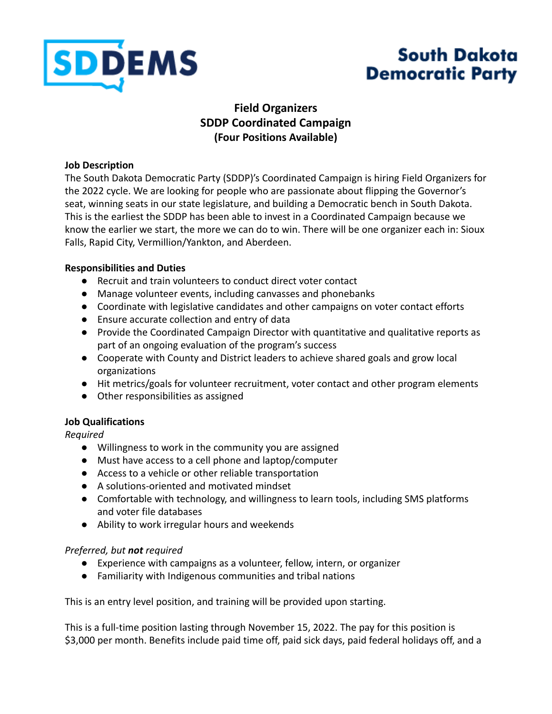

# **South Dakota Democratic Party**

## **Field Organizers SDDP Coordinated Campaign (Four Positions Available)**

#### **Job Description**

The South Dakota Democratic Party (SDDP)'s Coordinated Campaign is hiring Field Organizers for the 2022 cycle. We are looking for people who are passionate about flipping the Governor's seat, winning seats in our state legislature, and building a Democratic bench in South Dakota. This is the earliest the SDDP has been able to invest in a Coordinated Campaign because we know the earlier we start, the more we can do to win. There will be one organizer each in: Sioux Falls, Rapid City, Vermillion/Yankton, and Aberdeen.

### **Responsibilities and Duties**

- Recruit and train volunteers to conduct direct voter contact
- Manage volunteer events, including canvasses and phonebanks
- Coordinate with legislative candidates and other campaigns on voter contact efforts
- Ensure accurate collection and entry of data
- Provide the Coordinated Campaign Director with quantitative and qualitative reports as part of an ongoing evaluation of the program's success
- Cooperate with County and District leaders to achieve shared goals and grow local organizations
- Hit metrics/goals for volunteer recruitment, voter contact and other program elements
- Other responsibilities as assigned

## **Job Qualifications**

*Required*

- Willingness to work in the community you are assigned
- Must have access to a cell phone and laptop/computer
- Access to a vehicle or other reliable transportation
- A solutions-oriented and motivated mindset
- Comfortable with technology, and willingness to learn tools, including SMS platforms and voter file databases
- Ability to work irregular hours and weekends

### *Preferred, but not required*

- Experience with campaigns as a volunteer, fellow, intern, or organizer
- Familiarity with Indigenous communities and tribal nations

This is an entry level position, and training will be provided upon starting.

This is a full-time position lasting through November 15, 2022. The pay for this position is \$3,000 per month. Benefits include paid time off, paid sick days, paid federal holidays off, and a